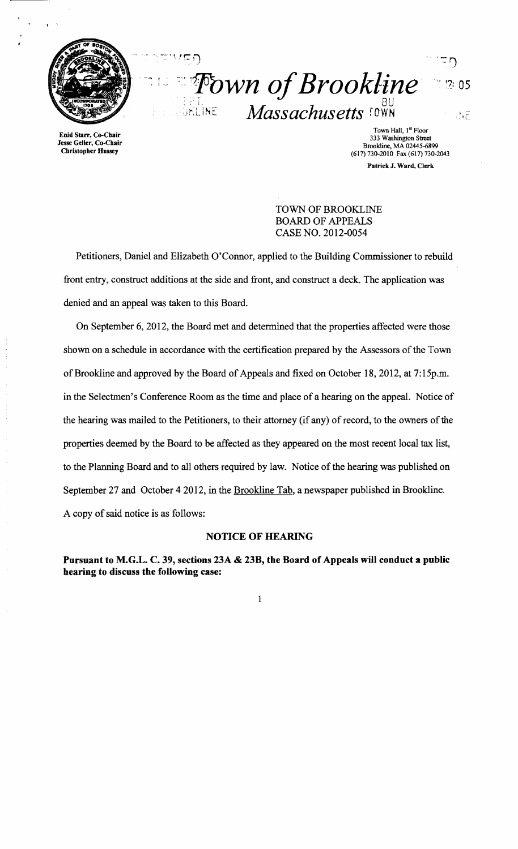

Enid Starr, Co-Chair Jesse Geller, Co-Cbair Cbristopher Hussey

 $\overline{\phantom{a}}$   $\overline{\phantom{a}}$   $\overline{\phantom{a}}$   $\overline{\phantom{a}}$   $\overline{\phantom{a}}$   $\overline{\phantom{a}}$   $\overline{\phantom{a}}$   $\overline{\phantom{a}}$   $\overline{\phantom{a}}$   $\overline{\phantom{a}}$   $\overline{\phantom{a}}$   $\overline{\phantom{a}}$   $\overline{\phantom{a}}$   $\overline{\phantom{a}}$   $\overline{\phantom{a}}$   $\overline{\phantom{a}}$   $\overline{\phantom{a}}$   $\overline{\phantom{a}}$   $\overline{\$ **:** *Fown of Brookline*<br>SKLINE Massachusetts IOWN  $2:05$ **Massachusetts FOWN** 古田

Town Hall, 1st Floor 333 Washington Street Brookline, MA 02445-6899 (617) 730-2010 Fax (617) 730-2043 Patrick J. Ward, Clerk

TOWN OF BROOKLINE BOARD OF APPEALS CASE NO. 2012-0054

Petitioners, Daniel and Elizabeth O'Connor, applied to the Building Commissioner to rebuild front entry, construct additions at the side and front, and construct a deck. The application was denied and an appeal was taken to this Board.

On September 6, 2012, the Board met and determined that the properties affected were those shown on a schedule in accordance with the certification prepared by the Assessors of the Town of Brookline and approved by the Board of Appeals and fixed on October 18, 2012, at 7:15p.m. in the Selectmen's Conference Room as the time and place of a hearing on the appeal. Notice of the hearing was mailed to the Petitioners, to their attorney (if any) of record, to the owners of the properties deemed by the Board to be affected as they appeared on the most recent local tax list, to the Planning Board and to all others required by law. Notice of the hearing was published on September 27 and October 42012, in the Brookline Tab, a newspaper published in Brookline. A copy of said notice is as follows:

#### NOTICE OF HEARING

Pursuant to M.G.L. C. 39, sections 23A & 23B, the Board of Appeals will conduct a public hearing to discuss the following case: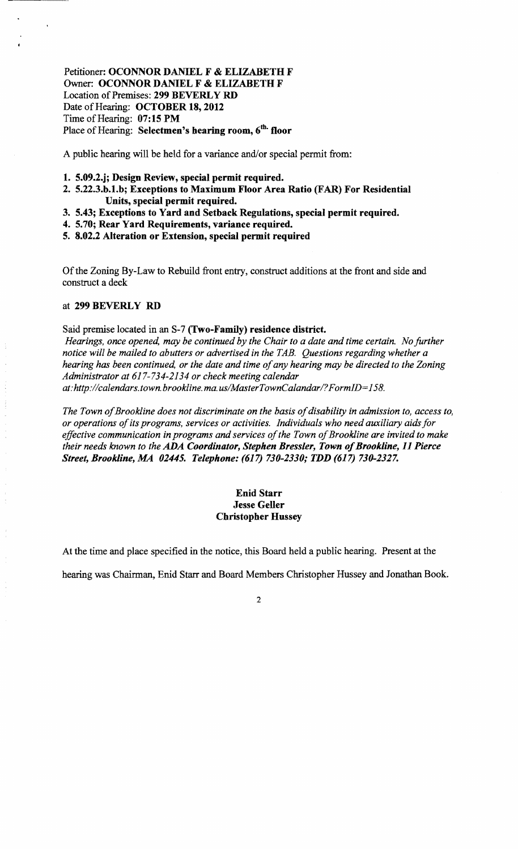# Petitioner: OCONNOR DANIEL F & ELIZABETH F Owner: OCONNOR DANIEL F & ELIZABETH F Location of Premises: 299 BEVERLY RD Date of Hearing: OCTOBER 18, 2012 Time of Hearing:  $07:15$  PM Place of Hearing: Selectmen's hearing room, 6<sup>th.</sup> floor

A public hearing will be held for a variance and/or special permit from:

- 1. 5.09.2.j; Design Review, special permit required.
- 2. 5.22.3.b.1.b; Exceptions to Maximum Floor Area Ratio (FAR) For Residential Units, special permit required.
- 3. 5.43; Exceptions to Yard and Setback Regulations, special permit required.
- 4. 5.70; Rear Yard Requirements, variance required.
- 5. 8.02.2 Alteration or Extension, special permit required

Of the Zoning By-Law to Rebuild front entry, construct additions at the front and side and construct a deck

#### at 299 BEVERLY RD

Said premise located in an S-7 (Two-Family) residence district.

*Hearings, once opened, may be continued by the Chair to a date and time certain. No further notice will be mailed to abutters or advertised in the TAB. Questions regarding whether a hearing has been continued, or the date and time of any hearing may be directed to the Zoning Administrator at* 617-734-2134 *or check meeting calendar at: http://calendars.town.brookline.ma.usIMasterTownCalandarl? F ormID= 158.* 

The Town of Brookline does not discriminate on the basis of disability in admission to, access to, *or operations ofits programs, services or activities. Individuals who need auxiliary aids for*  effective communication in programs and services of the Town of Brookline are invited to make *their needs known to the ADA Coordinator, Stephen Bressler, Town of Brookline, 11 Pierce Street, Brookline, MA 02445. Telephone:* (617) *730-2330; TDD* (617) *730-2327.* 

## Enid Starr Jesse Geller Christopher Hussey

At the time and place specified in the notice, this Board held a public hearing. Present at the

hearing was Chairman, Enid Starr and Board Members Christopher Hussey and Jonathan Book.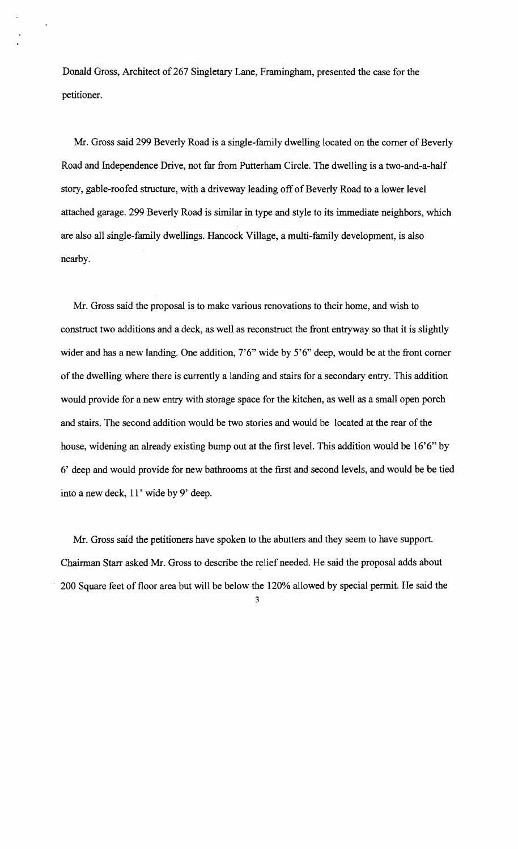Donald Gross, Architect of 267 Singletary Lane, Framingham, presented the case for the petitioner.

Mr. Gross said 299 Beverly Road is a single-family dwelling located on the comer of Beverly Road and Independence Drive, not far from Putterham Circle. The dwelling is a two-and-a-half story, gable-roofed structure, with a driveway leading off of Beverly Road to a lower level attached garage. 299 Beverly Road is similar in type and style to its immediate neighbors, which are also all single-family dwellings. Hancock Village, a multi-family development, is also nearby.

Mr. Gross said the proposal is to make various renovations to their home, and wish to construct two additions and a deck, as well as reconstruct the front entryway so that it is slightly wider and has a new landing. One addition, 7'6" wide by 5'6" deep, would be at the front comer of the dwelling where there is currently a landing and stairs for a secondary entry. This addition would provide for a new entry with storage space for the kitchen, as well as a small open porch and stairs. The second addition would be two stories and would be located at the rear of the house, widening an already existing bump out at the first level. This addition would be 16'6" by 6' deep and would provide for new bathrooms at the first and second levels, and would be be tied into a new deck, 11' wide by 9' deep.

Mr. Gross said the petitioners have spoken to the abutters and they seem to have support. Chairman Starr asked Mr. Gross to describe the relief needed. He said the proposal adds about 200 Square feet of floor area but will be below the 120% allowed by special permit. He said the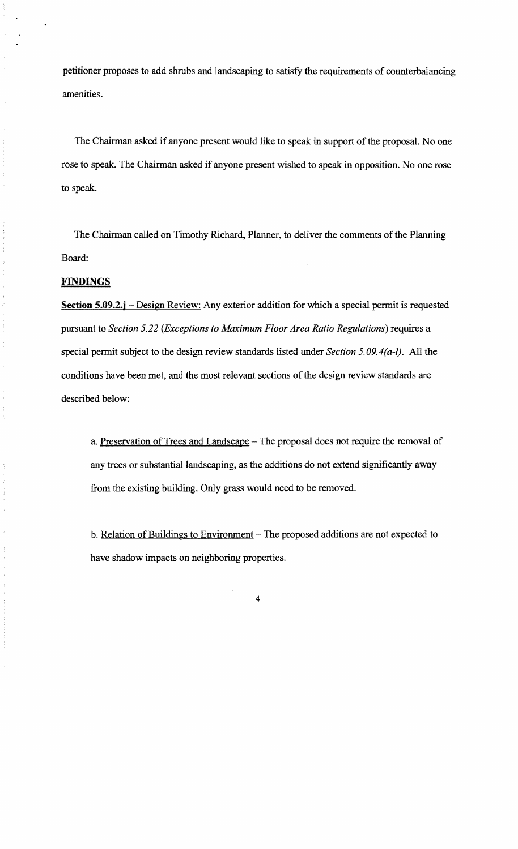petitioner proposes to add shrubs and landscaping to satisfy the requirements of counterbalancing amenities.

The Chairman asked if anyone present would like to speak in support of the proposal. No one rose to speak. The Chairman asked if anyone present wished to speak in opposition. No one rose to speak.

The Chairman called on Timothy Richard, Planner, to deliver the comments of the Planning Board:

## **FINDINGS**

**Section 5.09.2.j** – Design Review: Any exterior addition for which a special permit is requested pursuant to *Section* 5.22 *(Exceptions to Maximum Floor Area Ratio Regulations)* requires a special permit subject to the design review standards listed under *Section 5.09.4(a-I).* All the conditions have been met, and the most relevant sections of the design review standards are described below:

a. Preservation of Trees and Landscape - The proposal does not require the removal of any trees or substantial landscaping, as the additions do not extend significantly away from the existing building. Only grass would need to be removed.

b. Relation of Buildings to Environment - The proposed additions are not expected to have shadow impacts on neighboring properties.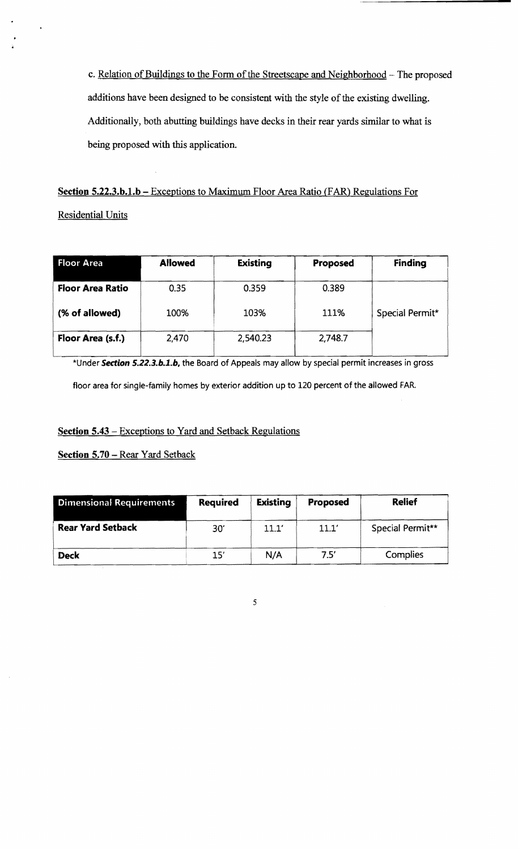c. Relation of Buildings to the Form of the Streetscape and Neighborhood - The proposed additions have been designed to be consistent with the style of the existing dwelling. Additionally, both abutting buildings have decks in their rear yards similar to what is being proposed with this application.

Section 5.22.3.b.1.b - Exceptions to Maximum Floor Area Ratio (FAR) Regulations For Residential Units

| Floor Area              | <b>Allowed</b> | <b>Existing</b> | Proposed | <b>Finding</b>  |
|-------------------------|----------------|-----------------|----------|-----------------|
| <b>Floor Area Ratio</b> | 0.35           | 0.359           | 0.389    |                 |
| (% of allowed)          | 100%           | 103%            | 111%     | Special Permit* |
| Floor Area (s.f.)       | 2,470          | 2,540.23        | 2,748.7  |                 |

\*Under Section *S.22.3.b.l.b,* the Board of Appeals may allow by special permit increases in gross floor area for single-family homes by exterior addition up to 120 percent of the allowed FAR.

# Section 5.43 – Exceptions to Yard and Setback Regulations

Section 5.70 - Rear Yard Setback

| <b>Dimensional Requirements</b> | <b>Required</b> | <b>Existing</b> | Proposed | <b>Relief</b>    |
|---------------------------------|-----------------|-----------------|----------|------------------|
| <b>Rear Yard Setback</b>        | 30'             | 11.1'           | 11.1'    | Special Permit** |
| <b>Deck</b>                     | 15'             | N/A             | 7.5'     | Complies         |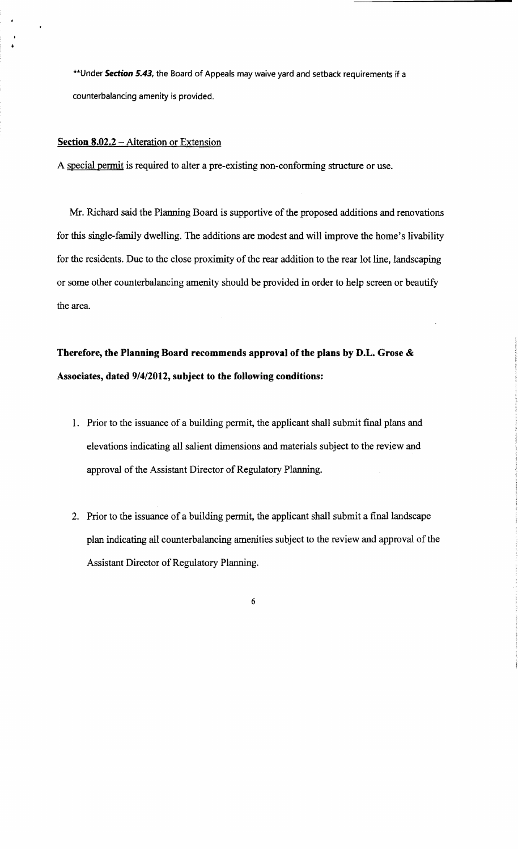\*\* Under Section 5.43, the Board of Appeals may waive yard and setback requirements if a counterbalancing amenity is provided.

#### Section 8.02.2 - Alteration or Extension

A special permit is required to alter a pre-existing non-conforming structure or use.

Mr. Richard said the Planning Board is supportive of the proposed additions and renovations for this single-family dwelling. The additions are modest and will improve the home's livability for the residents. Due to the close proximity of the rear addition to the rear lot line, landscaping or some other counterbalancing amenity should be provided in order to help screen or beautify the area.

# Therefore, the Planning Board recommends approval of the plans by D.L. Grose & Associates, dated *9/4/2012,* subject to the following conditions:

- 1. Prior to the issuance of a building permit, the applicant shall submit final plans and elevations indicating all salient dimensions and materials subject to the review and approval of the Assistant Director of Regulatory Planning.
- 2. Prior to the issuance of a building permit, the applicant shall submit a final landscape plan indicating all counterbalancing amenities subject to the review and approval of the Assistant Director of Regulatory Planning.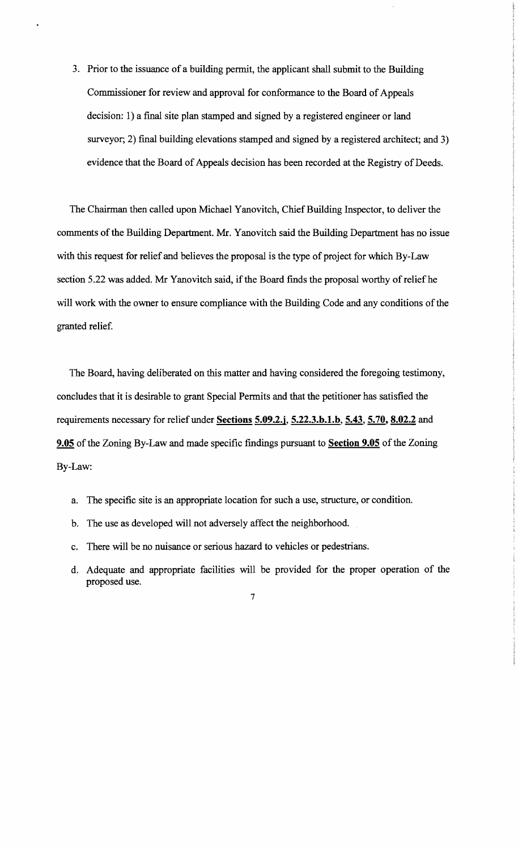3. Prior to the issuance of a building permit, the applicant shall submit to the Building Commissioner for review and approval for conformance to the Board of Appeals decision: 1) a final site plan stamped and signed by a registered engineer or land surveyor; 2) final building elevations stamped and signed by a registered architect; and 3) evidence that the Board of Appeals decision has been recorded at the Registry of Deeds.

The Chairman then called upon Michael Yanovitch, Chief Building Inspector, to deliver the comments of the Building Department. Mr. Yanovitch said the Building Department has no issue with this request for relief and believes the proposal is the type of project for which By-Law section 5.22 was added. Mr Yanovitch said, if the Board finds the proposal worthy of relief he will work with the owner to ensure compliance with the Building Code and any conditions of the granted relief.

The Board, having deliberated on this matter and having considered the foregoing testimony, concludes that it is desirable to grant Special Permits and that the petitioner has satisfied the requirements necessary for relief under Sections 5.09.2.j, 5.22.3.b.1.b, 5.43, 5.70, 8.02.2 and 9.05 of the Zoning By-Law and made specific findings pursuant to Section 9.05 of the Zoning By-Law:

- a. The specific site is an appropriate location for such a use, structure, or condition.
- b. The use as developed will not adversely affect the neighborhood.
- c. There will be no nuisance or serious hazard to vehicles or pedestrians.
- d. Adequate and appropriate facilities will be provided for the proper operation of the proposed use.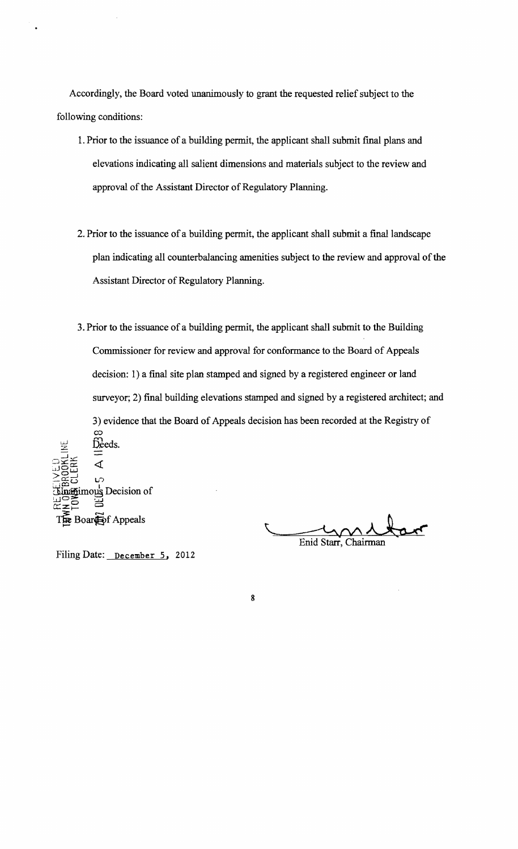Accordingly, the Board voted unanimously to grant the requested relief subject to the following conditions:

- 1. Prior to the issuance of a building permit, the applicant shall submit final plans and elevations indicating all salient dimensions and materials subject to the review and approval of the Assistant Director of Regulatory Planning.
- 2. Prior to the issuance of a building permit, the applicant shall submit a final landscape plan indicating all counterbalancing amenities subject to the review and approval of the Assistant Director of Regulatory Planning.
- 3. Prior to the issuance of a building permit, the applicant shall submit to the Building Commissioner for review and approval for confonnance to the Board of Appeals decision: 1) a final site plan stamped and signed by a registered engineer or land surveyor; 2) final building elevations stamped and signed by a registered architect; and 3) evidence that the Board of Appeals decision has been recorded at the Registry of co Deeds.

8

.-J \_,- ব্  $\eta\bar{\Xi}$  $\geq \frac{1}{20}$  is a line of  $\sim$  $\lim_{\substack{\longleftarrow\\ \square\subset\mathbb{R}}}$   $\lim_{\substack{\longleftarrow\\ \square\subset\mathbb{R}}}$  Decision of  $\Xi \subseteq \Xi$ :  $\Xi$ Boar**i**of Appeals

Enid Starr, Chairman

Filing Date: December 5, 2012